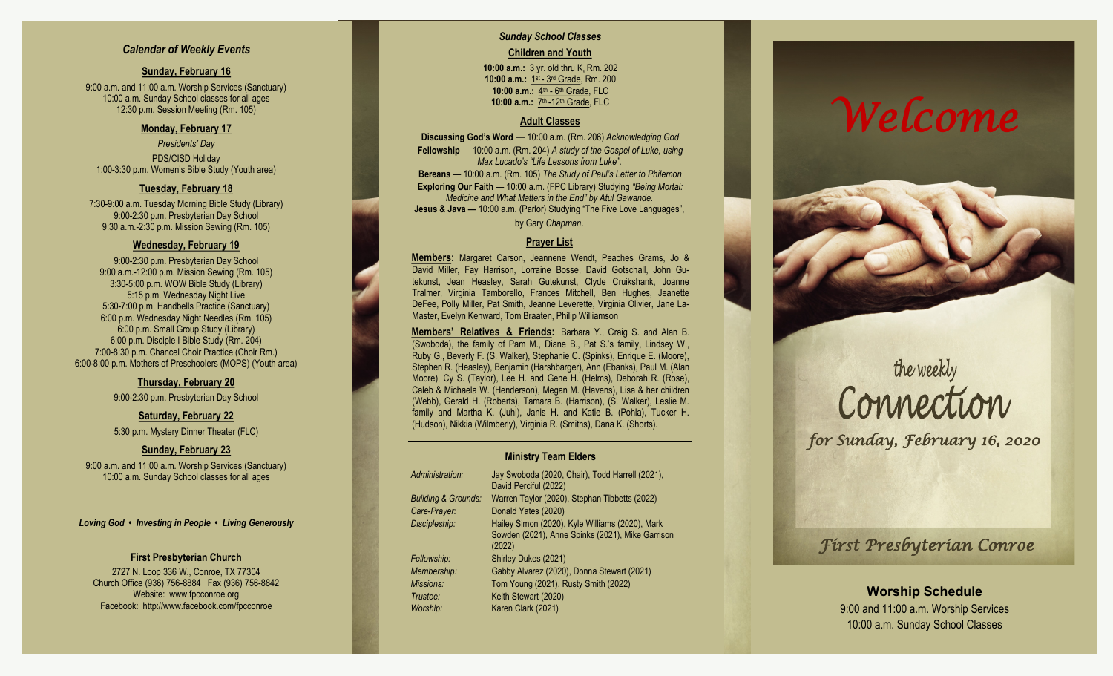# *Calendar of Weekly Events*

# **Sunday, February 16**

9:00 a.m. and 11:00 a.m. Worship Services (Sanctuary) 10:00 a.m. Sunday School classes for all ages 12:30 p.m. Session Meeting (Rm. 105)

# **Monday, February 17**

*Presidents' Day* PDS/CISD Holiday 1:00 -3:30 p.m. Women's Bible Study (Youth area)

# **Tuesday, February 18**

7:30 -9:00 a.m. Tuesday Morning Bible Study (Library) 9:00 -2:30 p.m. Presbyterian Day School 9:30 a.m. -2:30 p.m. Mission Sewing (Rm. 105)

# **Wednesday, February 19**

9:00 -2:30 p.m. Presbyterian Day School 9:00 a.m. -12:00 p.m. Mission Sewing (Rm. 105) 3:30 -5:00 p.m. WOW Bible Study (Library) 5:15 p.m. Wednesday Night Live 5:30 -7:00 p.m. Handbells Practice (Sanctuary) 6:00 p.m. Wednesday Night Needles (Rm. 105) 6:00 p.m. Small Group Study (Library) 6:00 p.m. Disciple I Bible Study (Rm. 204) 7:00 -8:30 p.m. Chancel Choir Practice (Choir Rm.) 6:00 -8:00 p.m. Mothers of Preschoolers (MOPS) (Youth area)

# **Thursday, February 20**

9:00 -2:30 p.m. Presbyterian Day School

# **Saturday, February 22**

5:30 p.m. Mystery Dinner Theater (FLC)

# **Sunday, February 23**

9:00 a.m. and 11:00 a.m. Worship Services (Sanctuary) 10:00 a.m. Sunday School classes for all ages

*Loving God • Investing in People • Living Generously*

# **First Presbyterian Church**

2727 N. Loop 336 W., Conroe, TX 77304 Church Office (936) 756 -8884 Fax (936) 756 -8842 Website: [www.fpcconroe.org](http://www.fpcconroe.org/) Facebook: <http://www.facebook.com/fpcconroe>

# *Sunday School Classes*

**Children and Youth**

**10:00 a.m.:** 3 yr. old thru K, Rm. 202 10:00 a.m.: 1<sup>st</sup> - 3<sup>rd</sup> Grade, Rm. 200 10:00 a.m.: 4<sup>th</sup> - 6<sup>th</sup> Grade, FLC 10:00 a.m.: 7<sup>th</sup> -12<sup>th</sup> Grade, FLC

# **Adult Classes**

**Discussing God's Word**  — 10:00 a.m. (Rm. 206) *Acknowledging God* **Fellowship** — 10:00 a.m. (Rm. 204) *A study of the Gospel of Luke, using Max Lucado's "Life Lessons from Luke".* **Bereans** — 10:00 a.m. (Rm. 105) *The Study of Paul's Letter to Philemon* **Exploring Our Faith**  — 10:00 a.m. (FPC Library) Studying *"Being Mortal: Medicine and What Matters in the End" by Atul Gawande.* **Jesus & Java - 10:00 a.m. (Parlor) Studying "The Five Love Languages",** by Gary *Chapman.*

# **Prayer List**

**Members :** Margaret Carson, Jeannene Wendt, Peaches Grams, Jo & David Miller, Fay Harrison, Lorraine Bosse, David Gotschall, John Gutekunst, Jean Heasley, Sarah Gutekunst, Clyde Cruikshank, Joanne Tralmer, Virginia Tamborello, Frances Mitchell, Ben Hughes, Jeanette DeFee, Polly Miller, Pat Smith, Jeanne Leverette, Virginia Olivier, Jane La-Master, Evelyn Kenward, Tom Braaten, Philip Williamson

**Members' Relatives & Friends:** Barbara Y., Craig S. and Alan B. (Swoboda), the family of Pam M., Diane B., Pat S.'s family, Lindsey W., Ruby G., Beverly F. (S. Walker), Stephanie C. (Spinks), Enrique E. (Moore), Stephen R. (Heasley), Benjamin (Harshbarger), Ann (Ebanks), Paul M. (Alan Moore), Cy S. (Taylor), Lee H. and Gene H. (Helms), Deborah R. (Rose), Caleb & Michaela W. (Henderson), Megan M. (Havens), Lisa & her children (Webb), Gerald H. (Roberts), Tamara B. (Harrison), (S. Walker), Leslie M. family and Martha K. (Juhl), Janis H. and Katie B. (Pohla), Tucker H. (Hudson), Nikkia (Wilmberly), Virginia R. (Smiths), Dana K. (Shorts).

# **Ministry Team Elders**

| Administration:                | Jay Swoboda (2020, Chair), Todd Harrell (2021),  |  |
|--------------------------------|--------------------------------------------------|--|
|                                | David Perciful (2022)                            |  |
| <b>Building &amp; Grounds:</b> | Warren Taylor (2020), Stephan Tibbetts (2022)    |  |
| Care-Prayer:                   | Donald Yates (2020)                              |  |
| Discipleship:                  | Hailey Simon (2020), Kyle Williams (2020), Mark  |  |
|                                | Sowden (2021), Anne Spinks (2021), Mike Garrison |  |
|                                | (2022)                                           |  |
| Fellowship:                    | Shirley Dukes (2021)                             |  |
| Membership:                    | Gabby Alvarez (2020), Donna Stewart (2021)       |  |
| <b>Missions:</b>               | Tom Young (2021), Rusty Smith (2022)             |  |
| Trustee:                       | Keith Stewart (2020)                             |  |
| Worship:                       | Karen Clark (2021)                               |  |

# *Welcome*



# the weekly<br>Connection

*for Sunday, February 16, 2020* 

*First Presbyterian Conroe* 

**Worship Schedule** 9:00 and 11:00 a.m. Worship Services 10:00 a.m. Sunday School Classes